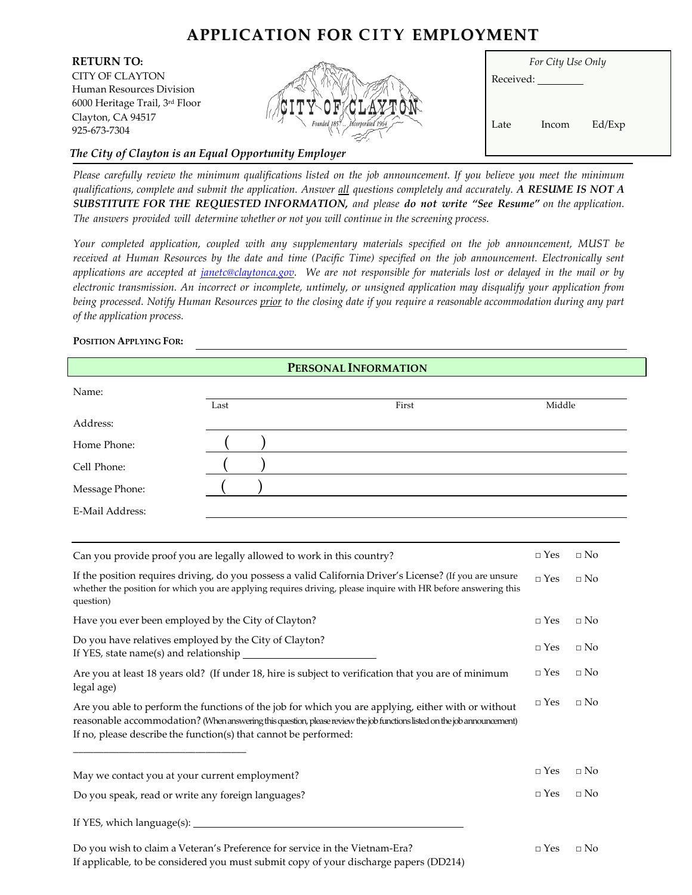# **APPLICATION FOR CITY EMPLOYMENT**

| <b>RETURN TO:</b>                                    |                                |           | For City Use Only |        |  |
|------------------------------------------------------|--------------------------------|-----------|-------------------|--------|--|
| CITY OF CLAYTON                                      |                                | Received: |                   |        |  |
| Human Resources Division                             |                                |           |                   |        |  |
| 6000 Heritage Trail, 3rd Floor                       |                                |           |                   |        |  |
| Clayton, CA 94517                                    |                                |           |                   |        |  |
| 925-673-7304                                         | Founded 1857 Incorporated 1964 | Late      | Incom             | Ed/Exp |  |
| The City of Clayton is an Eaual Onnortunity Employer |                                |           |                   |        |  |

## *The City of Clayton is an Equal Opportunity Employer*

*Please carefully review the minimum qualifications listed on the job announcement. If you believe you meet the minimum qualifications, complete and submit the application. Answer all questions completely and accurately. A RESUME IS NOT A SUBSTITUTE FOR THE REQUESTED INFORMATION, and please do not write "See Resume" on the application. The answers provided will determine whether or not you will continue in the screening process.*

*Your completed application, coupled with any supplementary materials specified on the job announcement, MUST be*  received at Human Resources by the date and time (Pacific Time) specified on the job announcement. Electronically sent applications are accepted at *janetc*@claytonca.gov. We are not responsible for materials lost or delayed in the mail or by *electronic transmission. An incorrect or incomplete, untimely, or unsigned application may disqualify your application from* being processed. Notify Human Resources prior to the closing date if you require a reasonable accommodation during any part *of the application process.*

#### **POSITION APPLYING FOR:**

**PERSONAL INFORMATION** Name: Address: Last Contract Contract Contract Press, First Contract Contract Contract Contract Contract Contract Contract Co Home Phone: Cell Phone: Message Phone: E‐Mail Address:

| Can you provide proof you are legally allowed to work in this country?                                                                                                                                                                                                                              | $\Box$ Yes | $\Box$ No |  |
|-----------------------------------------------------------------------------------------------------------------------------------------------------------------------------------------------------------------------------------------------------------------------------------------------------|------------|-----------|--|
| If the position requires driving, do you possess a valid California Driver's License? (If you are unsure<br>whether the position for which you are applying requires driving, please inquire with HR before answering this<br>question)                                                             | $\Box$ Yes | $\Box$ No |  |
| Have you ever been employed by the City of Clayton?                                                                                                                                                                                                                                                 | $\Box$ Yes | $\Box$ No |  |
| Do you have relatives employed by the City of Clayton?                                                                                                                                                                                                                                              | $\Box$ Yes | $\Box$ No |  |
| Are you at least 18 years old? (If under 18, hire is subject to verification that you are of minimum<br>legal age)                                                                                                                                                                                  | $\Box$ Yes | $\Box$ No |  |
| Are you able to perform the functions of the job for which you are applying, either with or without<br>reasonable accommodation? (When answering this question, please review the job functions listed on the job announcement)<br>If no, please describe the function(s) that cannot be performed: | $\Box$ Yes | $\Box$ No |  |
| May we contact you at your current employment?                                                                                                                                                                                                                                                      | $\Box$ Yes | $\Box$ No |  |
| Do you speak, read or write any foreign languages?                                                                                                                                                                                                                                                  | $\Box$ Yes | $\Box$ No |  |
|                                                                                                                                                                                                                                                                                                     |            |           |  |
| Do you wish to claim a Veteran's Preference for service in the Vietnam-Era?<br>If applicable, to be considered you must submit copy of your discharge papers (DD214)                                                                                                                                | $\Box$ Yes | $\Box$ No |  |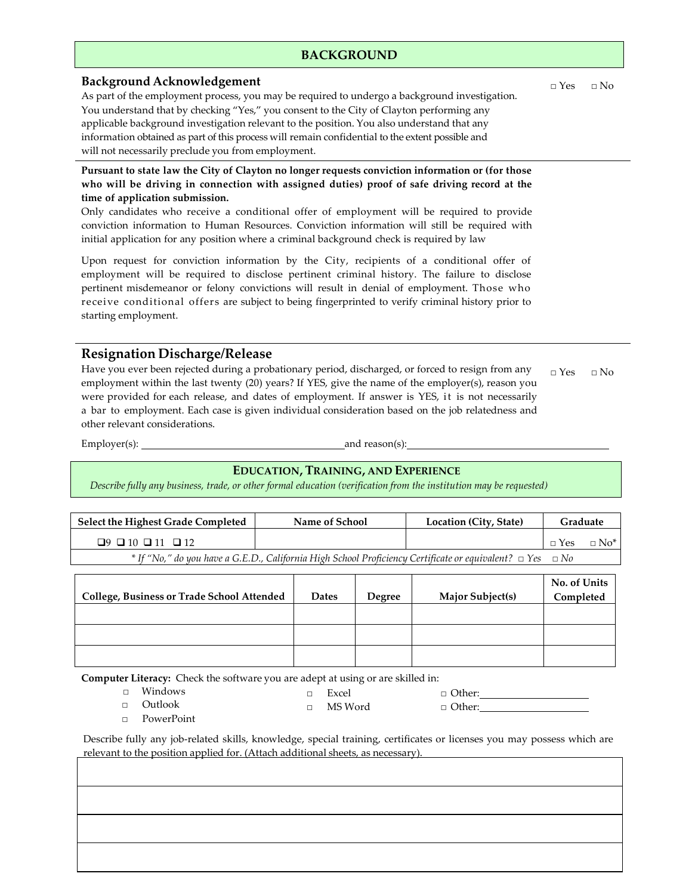#### **BACKGROUND**

#### **Background Acknowledgement**

As part of the employment process, you may be required to undergo a background investigation. You understand that by checking "Yes," you consent to the City of Clayton performing any applicable background investigation relevant to the position. You also understand that any information obtained as part of this process will remain confidential to the extent possible and will not necessarily preclude you from employment.

**Pursuant to state law the City of Clayton no longer requests conviction information or (for those who will be driving in connection with assigned duties) proof of safe driving record at the time of application submission.**

Only candidates who receive a conditional offer of employment will be required to provide conviction information to Human Resources. Conviction information will still be required with initial application for any position where a criminal background check is required by law

Upon request for conviction information by the City, recipients of a conditional offer of employment will be required to disclose pertinent criminal history. The failure to disclose pertinent misdemeanor or felony convictions will result in denial of employment. Those who receive conditional offers are subject to being fingerprinted to verify criminal history prior to starting employment.

### **Resignation Discharge/Release**

| Have you ever been rejected during a probationary period, discharged, or forced to resign from any | $\Box$ Yes |
|----------------------------------------------------------------------------------------------------|------------|
| employment within the last twenty (20) years? If YES, give the name of the employer(s), reason you |            |
| were provided for each release, and dates of employment. If answer is YES, it is not necessarily   |            |
| a bar to employment. Each case is given individual consideration based on the job relatedness and  |            |
| other relevant considerations.                                                                     |            |

Employer(s): and reason(s):

#### \_\_\_\_\_\_\_\_\_\_\_\_\_\_\_\_\_\_\_\_\_\_\_\_\_\_\_\_\_\_\_\_\_\_\_\_\_\_\_\_\_\_\_\_\_\_\_\_\_\_\_\_\_\_\_\_\_\_\_\_\_\_\_\_\_\_\_\_\_\_\_\_\_\_\_\_\_\_\_\_\_\_\_\_\_\_\_\_\_\_\_\_\_\_\_\_\_\_\_\_ **EDUCATION, TRAINING, AND EXPERIENCE**

 *Describe fully any business, trade, or other formal education (verification from the institution may be requested)*

| Select the Highest Grade Completed                 | Name of School                                                                                                      | Location (City, State) |                                       | Graduate                   |
|----------------------------------------------------|---------------------------------------------------------------------------------------------------------------------|------------------------|---------------------------------------|----------------------------|
| $\square$ 9 $\square$ 10 $\square$ 11 $\square$ 12 |                                                                                                                     |                        | $\sqcap$ Yes                          | $\sqcap$ No <sup>*</sup> I |
|                                                    | * If "No," do you have a G.E.D., California High School Proficiency Certificate or equivalent? $\Box$ Yes $\Box$ No |                        |                                       |                            |
|                                                    |                                                                                                                     |                        | $N_{\alpha}$ of $\text{L}_{\alpha}$ : |                            |

| <b>College, Business or Trade School Attended</b> | <b>Dates</b> | Degree | <b>Major Subject(s)</b> | No. of Units<br>Completed |
|---------------------------------------------------|--------------|--------|-------------------------|---------------------------|
|                                                   |              |        |                         |                           |
|                                                   |              |        |                         |                           |
|                                                   |              |        |                         |                           |

**Computer Literacy:** Check the software you are adept at using or are skilled in:

| $\Box$ | Windows   | m. | Excel          | $\Box$ Other: |
|--------|-----------|----|----------------|---------------|
|        | □ Outlook |    | $\Box$ MS Word | $\Box$ Other: |

□ PowerPoint

Describe fully any job-related skills, knowledge, special training, certificates or licenses you may possess which are relevant to the position applied for. (Attach additional sheets, as necessary).

□ Yes □ No

 $\square$  No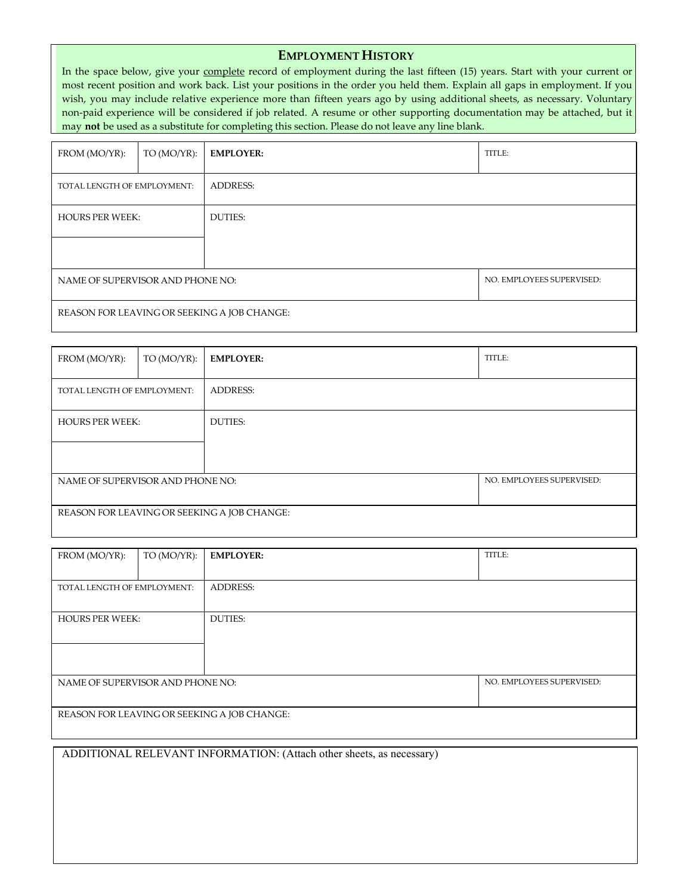## **EMPLOYMENT HISTORY**

In the space below, give your complete record of employment during the last fifteen (15) years. Start with your current or most recent position and work back. List your positions in the order you held them. Explain all gaps in employment. If you wish, you may include relative experience more than fifteen years ago by using additional sheets, as necessary. Voluntary non‐paid experience will be considered if job related. A resume or other supporting documentation may be attached, but it may **not** be used as a substitute for completing this section. Please do not leave any line blank.

| FROM (MO/YR):                               | TO $(MO/YR)$ : | <b>EMPLOYER:</b> | TITLE:                    |
|---------------------------------------------|----------------|------------------|---------------------------|
| TOTAL LENGTH OF EMPLOYMENT:                 |                | <b>ADDRESS:</b>  |                           |
| <b>HOURS PER WEEK:</b>                      |                | <b>DUTIES:</b>   |                           |
|                                             |                |                  |                           |
| NAME OF SUPERVISOR AND PHONE NO:            |                |                  | NO. EMPLOYEES SUPERVISED: |
| REASON FOR LEAVING OR SEEKING A JOB CHANGE: |                |                  |                           |

| FROM (MO/YR):                                                 | TO $(MO/YR)$ : | <b>EMPLOYER:</b> | TITLE: |
|---------------------------------------------------------------|----------------|------------------|--------|
| TOTAL LENGTH OF EMPLOYMENT:                                   |                | <b>ADDRESS:</b>  |        |
| <b>HOURS PER WEEK:</b>                                        |                | <b>DUTIES:</b>   |        |
| NO. EMPLOYEES SUPERVISED:<br>NAME OF SUPERVISOR AND PHONE NO: |                |                  |        |
| REASON FOR LEAVING OR SEEKING A JOB CHANGE:                   |                |                  |        |

| NO. EMPLOYEES SUPERVISED:                   |  |  |
|---------------------------------------------|--|--|
|                                             |  |  |
| REASON FOR LEAVING OR SEEKING A JOB CHANGE: |  |  |
|                                             |  |  |

ADDITIONAL RELEVANT INFORMATION: (Attach other sheets, as necessary)